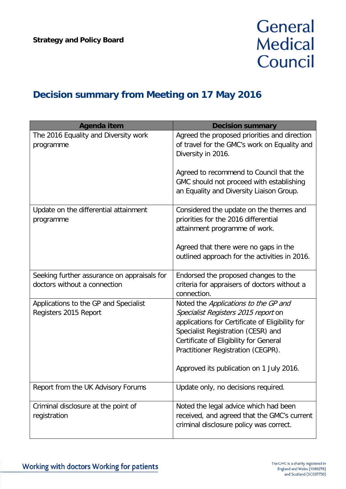## General **Medical** Council

## **Decision summary from Meeting on 17 May 2016**

| Agenda item                                                                 | <b>Decision summary</b>                                                                                                                                                                                                                                                                          |
|-----------------------------------------------------------------------------|--------------------------------------------------------------------------------------------------------------------------------------------------------------------------------------------------------------------------------------------------------------------------------------------------|
| The 2016 Equality and Diversity work<br>programme                           | Agreed the proposed priorities and direction<br>of travel for the GMC's work on Equality and<br>Diversity in 2016.                                                                                                                                                                               |
|                                                                             | Agreed to recommend to Council that the<br>GMC should not proceed with establishing<br>an Equality and Diversity Liaison Group.                                                                                                                                                                  |
| Update on the differential attainment<br>programme                          | Considered the update on the themes and<br>priorities for the 2016 differential<br>attainment programme of work.                                                                                                                                                                                 |
|                                                                             | Agreed that there were no gaps in the<br>outlined approach for the activities in 2016.                                                                                                                                                                                                           |
| Seeking further assurance on appraisals for<br>doctors without a connection | Endorsed the proposed changes to the<br>criteria for appraisers of doctors without a<br>connection.                                                                                                                                                                                              |
| Applications to the GP and Specialist<br>Registers 2015 Report              | Noted the Applications to the GP and<br>Specialist Registers 2015 report on<br>applications for Certificate of Eligibility for<br>Specialist Registration (CESR) and<br>Certificate of Eligibility for General<br>Practitioner Registration (CEGPR).<br>Approved its publication on 1 July 2016. |
| Report from the UK Advisory Forums                                          | Update only, no decisions required.                                                                                                                                                                                                                                                              |
| Criminal disclosure at the point of<br>registration                         | Noted the legal advice which had been<br>received, and agreed that the GMC's current<br>criminal disclosure policy was correct.                                                                                                                                                                  |